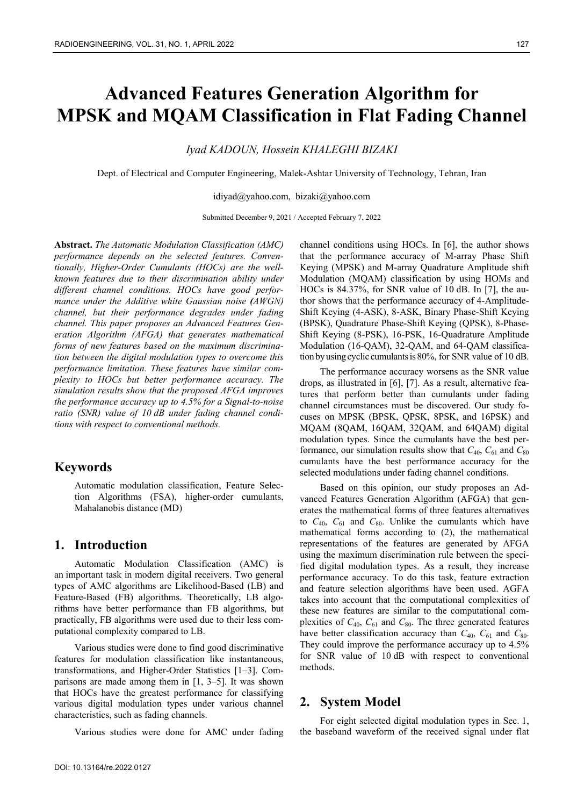# **Advanced Features Generation Algorithm for MPSK and MQAM Classification in Flat Fading Channel**

#### *Iyad KADOUN, Hossein KHALEGHI BIZAKI*

Dept. of Electrical and Computer Engineering, Malek-Ashtar University of Technology, Tehran, Iran

idiyad@yahoo.com, bizaki@yahoo.com

Submitted December 9, 2021 / Accepted February 7, 2022

**Abstract.** *The Automatic Modulation Classification (AMC) performance depends on the selected features. Conventionally, Higher-Order Cumulants (HOCs) are the wellknown features due to their discrimination ability under different channel conditions. HOCs have good performance under the Additive white Gaussian noise (AWGN) channel, but their performance degrades under fading channel. This paper proposes an Advanced Features Generation Algorithm (AFGA) that generates mathematical forms of new features based on the maximum discrimination between the digital modulation types to overcome this performance limitation. These features have similar complexity to HOCs but better performance accuracy. The simulation results show that the proposed AFGA improves the performance accuracy up to 4.5% for a Signal-to-noise ratio (SNR) value of 10 dB under fading channel conditions with respect to conventional methods.* 

# **Keywords**

Automatic modulation classification, Feature Selection Algorithms (FSA), higher-order cumulants, Mahalanobis distance (MD)

## **1. Introduction**

Automatic Modulation Classification (AMC) is an important task in modern digital receivers. Two general types of AMC algorithms are Likelihood-Based (LB) and Feature-Based (FB) algorithms. Theoretically, LB algorithms have better performance than FB algorithms, but practically, FB algorithms were used due to their less computational complexity compared to LB.

Various studies were done to find good discriminative features for modulation classification like instantaneous, transformations, and Higher-Order Statistics [1–3]. Comparisons are made among them in  $[1, 3-5]$ . It was shown that HOCs have the greatest performance for classifying various digital modulation types under various channel characteristics, such as fading channels.

Various studies were done for AMC under fading

channel conditions using HOCs. In [6], the author shows that the performance accuracy of M-array Phase Shift Keying (MPSK) and M-array Quadrature Amplitude shift Modulation (MQAM) classification by using HOMs and HOCs is 84.37%, for SNR value of 10 dB. In [7], the author shows that the performance accuracy of 4-Amplitude-Shift Keying (4-ASK), 8-ASK, Binary Phase-Shift Keying (BPSK), Quadrature Phase-Shift Keying (QPSK), 8-Phase-Shift Keying (8-PSK), 16-PSK, 16-Quadrature Amplitude Modulation (16-QAM), 32-QAM, and 64-QAM classification byusing cyclic cumulantsis 80%, for SNR value of 10 dB.

The performance accuracy worsens as the SNR value drops, as illustrated in [6], [7]. As a result, alternative features that perform better than cumulants under fading channel circumstances must be discovered. Our study focuses on MPSK (BPSK, QPSK, 8PSK, and 16PSK) and MQAM (8QAM, 16QAM, 32QAM, and 64QAM) digital modulation types. Since the cumulants have the best performance, our simulation results show that  $C_{40}$ ,  $C_{61}$  and  $C_{80}$ cumulants have the best performance accuracy for the selected modulations under fading channel conditions.

Based on this opinion, our study proposes an Advanced Features Generation Algorithm (AFGA) that generates the mathematical forms of three features alternatives to  $C_{40}$ ,  $C_{61}$  and  $C_{80}$ . Unlike the cumulants which have mathematical forms according to (2), the mathematical representations of the features are generated by AFGA using the maximum discrimination rule between the specified digital modulation types. As a result, they increase performance accuracy. To do this task, feature extraction and feature selection algorithms have been used. AGFA takes into account that the computational complexities of these new features are similar to the computational complexities of  $C_{40}$ ,  $C_{61}$  and  $C_{80}$ . The three generated features have better classification accuracy than  $C_{40}$ ,  $C_{61}$  and  $C_{80}$ . They could improve the performance accuracy up to 4.5% for SNR value of 10 dB with respect to conventional methods.

#### **2. System Model**

For eight selected digital modulation types in Sec. 1, the baseband waveform of the received signal under flat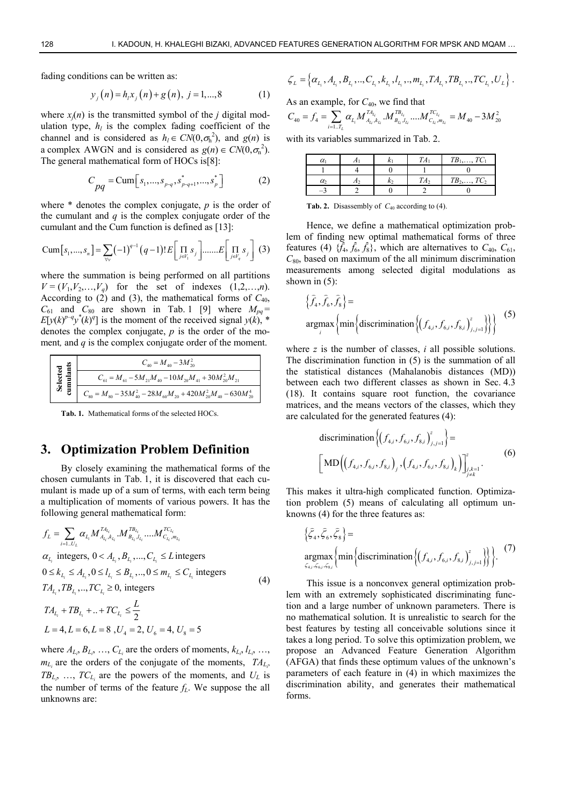fading conditions can be written as:

$$
y_i(n) = h_i x_i(n) + g(n), j = 1,...,8
$$
 (1)

where  $x_i(n)$  is the transmitted symbol of the *j* digital modulation type,  $h_l$  is the complex fading coefficient of the channel and is considered as  $h_l \in CN(0, \sigma_h^2)$ , and  $g(n)$  is a complex AWGN and is considered as  $g(n) \in CN(0, \sigma_n^2)$ . The general mathematical form of HOCs is[8]:

$$
C_{pq} = \text{Cum} \big[ s_1, ..., s_{p\text{-}q}, s_{p\text{-}q+1}^*, ..., s_p^* \big] \tag{2}
$$

where \* denotes the complex conjugate, *p* is the order of the cumulant and  $q$  is the complex conjugate order of the cumulant and the Cum function is defined as [13]:

$$
\text{Cum}[s_1,...,s_n] = \sum_{\forall v} (-1)^{q-1} (q-1)! E\bigg[\prod_{j \in V_1} s_j \bigg] \dots E\bigg[\prod_{j \in V_q} s_j \bigg] (3)
$$

where the summation is being performed on all partitions  $V = (V_1, V_2, \ldots, V_q)$  for the set of indexes  $(1, 2, \ldots, n)$ . According to (2) and (3), the mathematical forms of  $C_{40}$ ,  $C_{61}$  and  $C_{80}$  are shown in Tab. 1 [9] where  $M_{pq}$  =  $E[y(k)^{p-q}y^*(k)^q]$  is the moment of the received signal  $y(k)$ , \* denotes the complex conjugate, *p* is the order of the moment*,* and *q* is the complex conjugate order of the moment.

| `ਛੁੱ ≣     | $C_{40} = M_{40} - 3M_{20}^2$                                           |
|------------|-------------------------------------------------------------------------|
|            | $C_{61} = M_{61} - 5M_{21}M_{40} - 10M_{20}M_{41} + 30M_{20}^2M_{21}$   |
| Sei<br>Sup | $C_{80}=M_{80}-35M_{40}^2-28M_{60}M_{20}+420M_{20}^2M_{40}-630M_{20}^4$ |

**Tab. 1.** Mathematical forms of the selected HOCs.

## **3. Optimization Problem Definition**

By closely examining the mathematical forms of the chosen cumulants in Tab. 1, it is discovered that each cumulant is made up of a sum of terms, with each term being a multiplication of moments of various powers. It has the following general mathematical form:

$$
f_{L} = \sum_{i=1..U_{L}} \alpha_{L_{i}} M_{A_{L_{i}},k_{L_{i}}}^{T A_{L_{i}}} M_{B_{L_{i}},l_{L_{i}}}^{T B_{L_{i}}} \dots M_{C_{L_{i}},m_{L_{i}}}^{T C_{L_{i}}}
$$
  
\n
$$
\alpha_{L_{i}} \text{ integers, } 0 < A_{L_{i}}, B_{L_{i}}, \dots, C_{L_{i}} \leq L \text{ integers}
$$
  
\n
$$
0 \leq k_{L_{i}} \leq A_{L_{i}}, 0 \leq l_{L_{i}} \leq B_{L_{i}}, \dots, 0 \leq m_{L_{i}} \leq C_{L_{i}} \text{ integers}
$$
  
\n
$$
T A_{L_{i}}, T B_{L_{i}}, \dots, T C_{L_{i}} \geq 0, \text{ integers}
$$
  
\n
$$
T A_{L_{i}} + T B_{L_{i}} + \dots + T C_{L_{i}} \leq \frac{L}{2}
$$
\n
$$
(4)
$$

where  $A_{L_i}, B_{L_i}, \ldots, C_{L_i}$  are the orders of moments,  $k_{L_i}, l_{L_i}, \ldots,$  $m_{L_i}$  are the orders of the conjugate of the moments,  $TA_{L_i}$  $TB_{L_i}$ , ...,  $TC_{L_i}$  are the powers of the moments, and  $U_L$  is the number of terms of the feature  $f<sub>L</sub>$ . We suppose the all unknowns are:

 $L = 4, L = 6, L = 8, U_4 = 2, U_6 = 4, U_8 = 5$ 

$$
\zeta_L = \left\{ \alpha_{L_i}, A_{L_i}, B_{L_i}, ..., C_{L_i}, k_{L_i}, l_{L_i}, ..., m_{L_i}, TA_{L_i}, TB_{L_i}, ..., TC_{L_i}, U_L \right\}.
$$

As an example, for  $C_{40}$ , we find that

$$
C_{40} = f_4 = \sum_{i=1...T_L} \alpha_{L_i} M_{A_{L_i}, k_{L_i}}^{T A_{L_i}} \cdot M_{B_{L_i}, l_{L_i}}^{T B_{L_i}} \dots M_{C_{L_i}, m_{L_i}}^{T C_{L_i}} = M_{40} - 3M_{20}^2
$$

with its variables summarized in Tab. 2.

| α        |  | TC<br>TR.              |
|----------|--|------------------------|
|          |  |                        |
| $\alpha$ |  | TB <sub>2</sub><br>TC, |
|          |  |                        |

**Tab. 2.** Disassembly of  $C_{40}$  according to (4).

Hence, we define a mathematical optimization problem of finding new optimal mathematical forms of three features (4)  $\{\tilde{f}_4, \tilde{f}_6, \tilde{f}_8\}$ , which are alternatives to  $C_{40}$ ,  $C_{61}$ , *C*80, based on maximum of the all minimum discrimination measurements among selected digital modulations as shown in  $(5)$ :

$$
\left\{\hat{f}_4, \hat{f}_6, \hat{f}_8\right\} = \operatorname{argmax}_{i} \left\{ \min \left\{ \operatorname{discrimination}\left\{ (f_{4,i}, f_{6,i}, f_{8,i})_{j,j=1}^z \right\} \right\} \right\}
$$
 (5)

where *z* is the number of classes, *i* all possible solutions. The discrimination function in (5) is the summation of all the statistical distances (Mahalanobis distances (MD)) between each two different classes as shown in Sec. 4.3 (18). It contains square root function, the covariance matrices, and the means vectors of the classes, which they are calculated for the generated features (4):

discrimination 
$$
\left\{ (f_{4,i}, f_{6,i}, f_{8,i})_{j,j=1}^{z} \right\} =
$$
  
\n
$$
\left[ \text{MD} \left( (f_{4,i}, f_{6,i}, f_{8,i})_{j}, (f_{4,i}, f_{6,i}, f_{8,i})_{k} \right) \right]_{j,k=1}^{z}
$$
\n(6)

This makes it ultra-high complicated function. Optimization problem (5) means of calculating all optimum unknowns (4) for the three features as:

$$
\left\{ \widehat{\zeta}_4, \widehat{\zeta}_6, \widehat{\zeta}_8 \right\} = \underset{\zeta_{4j}, \zeta_{6j}, \zeta_{8j}}{\operatorname{argmax}} \left\{ \min \left\{ \operatorname{discrimination} \left\{ \left( f_{4,i}, f_{6,i}, f_{8,i} \right)_{j,j=1}^z \right\} \right\} \right\}. \tag{7}
$$

This issue is a nonconvex general optimization problem with an extremely sophisticated discriminating function and a large number of unknown parameters. There is no mathematical solution. It is unrealistic to search for the best features by testing all conceivable solutions since it takes a long period. To solve this optimization problem, we propose an Advanced Feature Generation Algorithm (AFGA) that finds these optimum values of the unknown's parameters of each feature in (4) in which maximizes the discrimination ability, and generates their mathematical forms.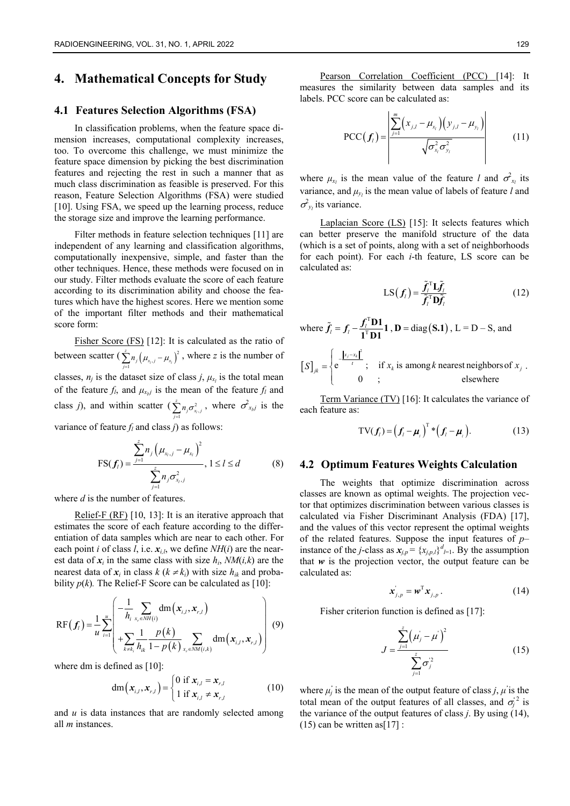# **4. Mathematical Concepts for Study**

## **4.1 Features Selection Algorithms (FSA)**

In classification problems, when the feature space dimension increases, computational complexity increases, too. To overcome this challenge, we must minimize the feature space dimension by picking the best discrimination features and rejecting the rest in such a manner that as much class discrimination as feasible is preserved. For this reason, Feature Selection Algorithms (FSA) were studied [10]. Using FSA, we speed up the learning process, reduce the storage size and improve the learning performance.

Filter methods in feature selection techniques [11] are independent of any learning and classification algorithms, computationally inexpensive, simple, and faster than the other techniques. Hence, these methods were focused on in our study. Filter methods evaluate the score of each feature according to its discrimination ability and choose the features which have the highest scores. Here we mention some of the important filter methods and their mathematical score form:

Fisher Score (FS) [12]: It is calculated as the ratio of between scatter  $\left(\sum_{j=1}^{z} n_j \left(\mu_{x_i,j} - \mu_{x_i}\right)^2\right)$ *z*  $\sum_{j=1}^{2} n_j \left( \mu_{x_i, j} - \mu_{x_i} \right)^2$ , where *z* is the number of classes,  $n_j$  is the dataset size of class *j*,  $\mu_{x_l}$  is the total mean of the feature  $f_l$ , and  $\mu_{x_l}$  is the mean of the feature  $f_l$  and class *j*), and within scatter  $\left(\sum_{j=1}^{n} n_j \sigma_{x_j}^2\right)$ *z*  $\sum_{j=1}^{z} n_j \sigma_{x_j,j}^2$ , where  $\sigma_{x_k,j}^2$  is the variance of feature *fl* and class *j*) as follows:

$$
\text{FS}(\bm{f}_l) = \frac{\sum_{j=1}^{z} n_j (\mu_{x_l, j} - \mu_{x_l})^2}{\sum_{j=1}^{z} n_j \sigma_{x_l, j}^2}, 1 \le l \le d \tag{8}
$$

where *d* is the number of features.

Relief-F (RF) [10, 13]: It is an iterative approach that estimates the score of each feature according to the differentiation of data samples which are near to each other. For each point *i* of class *l*, i.e.  $x_{i,l}$ , we define  $NH(i)$  are the nearest data of  $x_i$  in the same class with size  $h_i$ ,  $NM(i,k)$  are the nearest data of  $x_i$  in class  $k$  ( $k \neq k_i$ ) with size  $h_k$  and probability  $p(k)$ . The Relief-F Score can be calculated as [10]:

$$
RF(f_i) = \frac{1}{u} \sum_{i=1}^{u} \left( -\frac{1}{h_i} \sum_{x_r \in NH(i)} dm(x_{i,l}, x_{r,l}) + \sum_{k \neq k_i} \frac{1}{h_k} \frac{p(k)}{1 - p(k)} \sum_{x_r \in NM(i,k)} dm(x_{i,l}, x_{r,l}) \right)
$$
(9)

where dm is defined as [10]:

$$
\mathrm{dm}\left(\mathbf{x}_{i,l}, \mathbf{x}_{r,l}\right) = \begin{cases} 0 \text{ if } \mathbf{x}_{i,l} = \mathbf{x}_{r,l} \\ 1 \text{ if } \mathbf{x}_{i,l} \neq \mathbf{x}_{r,l} \end{cases}
$$
(10)

and *u* is data instances that are randomly selected among all *m* instances.

Pearson Correlation Coefficient (PCC) [14]: It measures the similarity between data samples and its labels. PCC score can be calculated as:

$$
PCC(\boldsymbol{f}_i) = \frac{\left| \sum_{j=1}^{m} (x_{j,l} - \mu_{x_i})(y_{j,l} - \mu_{y_i}) \right|}{\sqrt{\sigma_{x_i}^2 \sigma_{y_i}^2}}
$$
(11)

where  $\mu_{x_l}$  is the mean value of the feature *l* and  $\sigma_{x_l}^2$  its variance, and  $\mu_{y_l}$  is the mean value of labels of feature *l* and  $\sigma_{y_l}^2$  its variance.

Laplacian Score (LS) [15]: It selects features which can better preserve the manifold structure of the data (which is a set of points, along with a set of neighborhoods for each point). For each *i*-th feature, LS score can be calculated as:

$$
LS(f_i) = \frac{\tilde{f}_i^{\mathrm{T}} \mathbf{L} \tilde{f}_i}{\tilde{f}_i^{\mathrm{T}} \mathbf{D} \tilde{f}_i}
$$
(12)

where  $\tilde{f}_i = f_i - \frac{f_i^T}{f_i^T}$  $\tilde{f}_i = f_i - \frac{f_i^{\mathrm{T}} D1}{1^{\mathrm{T}} D1} 1$ ,  $D = \text{diag}(S.1)$ ,  $L = D - S$ , and

$$
[S]_{jk} = \begin{cases} e^{-\frac{\left|x_j - x_k\right|^2}{t}}; & \text{if } x_k \text{ is among } k \text{ nearest neighbors of } x_j \\ 0; & \text{elsewhere} \end{cases}
$$

Term Variance (TV) [16]: It calculates the variance of each feature as:

$$
TV(f_i) = (f_i - \boldsymbol{\mu}_i)^T * (f_i - \boldsymbol{\mu}_i).
$$
 (13)

#### **4.2 Optimum Features Weights Calculation**

The weights that optimize discrimination across classes are known as optimal weights. The projection vector that optimizes discrimination between various classes is calculated via Fisher Discriminant Analysis (FDA) [17], and the values of this vector represent the optimal weights of the related features. Suppose the input features of *p*– instance of the *j*-class as  $x_{j,p} = {x_{j,p,l}}^d_{l=1}$ . By the assumption that  $w$  is the projection vector, the output feature can be calculated as:

$$
\mathbf{x}_{j,p}^{\dagger} = \mathbf{w}^{\mathrm{T}} \mathbf{x}_{j,p} \,. \tag{14}
$$

Fisher criterion function is defined as [17]:

$$
J = \frac{\sum_{j=1}^{z} (\mu_j - \mu^*)^2}{\sum_{j=1}^{z} \sigma_j^2}
$$
 (15)

where  $\mu_j$  is the mean of the output feature of class *j*,  $\mu$  is the total mean of the output features of all classes, and  $\sigma_j^2$  is the variance of the output features of class *j*. By using (14),  $(15)$  can be written as [17] :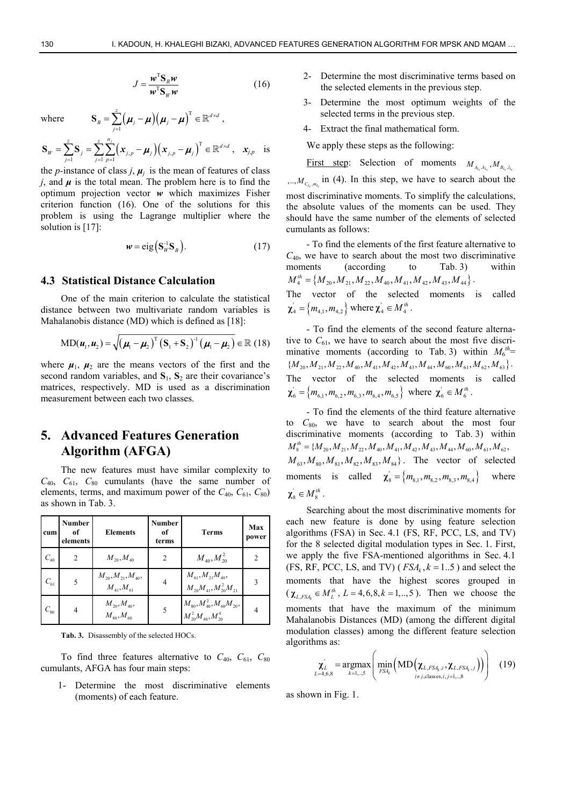$$
J = \frac{w^{\mathrm{T}} \mathbf{S}_{B} w}{w^{\mathrm{T}} \mathbf{S}_{W} w}
$$
 (16)

 $\times$ 

where  $\mathbf{S}_{B} = \sum_{j=1}^{2} (\boldsymbol{\mu}_{j} - \boldsymbol{\mu}) (\boldsymbol{\mu}_{j} - \boldsymbol{\mu})^{\mathrm{T}}$ 

$$
\mathbf{S}_{W} = \sum_{j=1}^{z} \mathbf{S}_{j} = \sum_{j=1}^{z} \sum_{p=1}^{n_{j}} \left( \mathbf{x}_{j,p} - \boldsymbol{\mu}_{j} \right) \left( \mathbf{x}_{j,p} - \boldsymbol{\mu}_{j} \right)^{T} \in \mathbb{R}^{d \times d}, \quad \mathbf{x}_{j,p} \text{ is}
$$

 $\boldsymbol{\mu}_{B} = \sum_{j=1}^{z} \Big(\boldsymbol{\mu}_{j} - \boldsymbol{\mu}\Big) \Big(\boldsymbol{\mu}_{j} - \boldsymbol{\mu}\Big)^{\mathrm{T}} \in \mathbb{R}^{d \times d}$ 

 $\mathbf{S}_{B} = \sum_{j=1} \Big(\boldsymbol{\mu}_{j} - \boldsymbol{\mu}\Big) \Big(\boldsymbol{\mu}_{j} - \boldsymbol{\mu}\Big)^{T} \in \mathbb{R}^{d \times d}$ ,

the *p*-instance of class *j*,  $\mu_i$  is the mean of features of class *j*, and  $\mu$  is the total mean. The problem here is to find the optimum projection vector *w* which maximizes Fisher criterion function (16). One of the solutions for this problem is using the Lagrange multiplier where the solution is [17]:

$$
w = eig\left(\mathbf{S}_W^{-1}\mathbf{S}_B\right). \tag{17}
$$

#### **4.3 Statistical Distance Calculation**

One of the main criterion to calculate the statistical distance between two multivariate random variables is Mahalanobis distance (MD) which is defined as [18]:

$$
MD(\boldsymbol{u}_1, \boldsymbol{u}_2) = \sqrt{\left(\boldsymbol{\mu}_1 - \boldsymbol{\mu}_2\right)^T \left(\mathbf{S}_1 + \mathbf{S}_2\right)^{-1} \left(\boldsymbol{\mu}_1 - \boldsymbol{\mu}_2\right)} \in \mathbb{R} \ (18)
$$

where  $\mu_1$ ,  $\mu_2$  are the means vectors of the first and the second random variables, and  $S_1$ ,  $S_2$  are their covariance's matrices, respectively. MD is used as a discrimination measurement between each two classes.

# **5. Advanced Features Generation Algorithm (AFGA)**

The new features must have similar complexity to  $C_{40}$ ,  $C_{61}$ ,  $C_{80}$  cumulants (have the same number of elements, terms, and maximum power of the  $C_{40}$ ,  $C_{61}$ ,  $C_{80}$ ) as shown in Tab. 3.

| cum      | <b>Number</b><br>of<br>elements | <b>Elements</b>                               | Number<br>of<br>terms | <b>Terms</b>                                                                               | Max<br>power   |
|----------|---------------------------------|-----------------------------------------------|-----------------------|--------------------------------------------------------------------------------------------|----------------|
| $C_{40}$ | $\mathfrak{D}$                  | $M_{20}$ , $M_{40}$                           | $\overline{c}$        | $M_{40}^{},M_{20}^2$                                                                       | $\overline{c}$ |
| $C_{61}$ |                                 | $M_{20}, M_{21}, M_{40},$<br>$M_{41}, M_{61}$ | 4                     | $\begin{aligned} &M_{61}, M_{21} M_{40}, \\ &M_{20} M_{41}, M_{20}^2 M_{21} \end{aligned}$ | 3              |
| $C_{80}$ | 4                               | $M_{20}, M_{40},$<br>$M_{80}$ , $M_{60}$      | 5                     | $M_{80}, M_{40}^2, M_{60}M_{20},$<br>$M_{20}^2M_{40}, M_{20}^4$                            | 4              |

**Tab. 3.** Disassembly of the selected HOCs.

To find three features alternative to  $C_{40}$ ,  $C_{61}$ ,  $C_{80}$ cumulants, AFGA has four main steps:

1- Determine the most discriminative elements (moments) of each feature.

- 2- Determine the most discriminative terms based on the selected elements in the previous step.
- 3- Determine the most optimum weights of the selected terms in the previous step.
- 4- Extract the final mathematical form.

We apply these steps as the following:

First step: Selection of moments  $M_{A_{l_i}, k_{l_i}}, M_{B_{l_i}, l_{l_i}}$  $, ..., M_{C_{L_i}, m_{L_i}}$  in (4). In this step, we have to search about the most discriminative moments. To simplify the calculations, the absolute values of the moments can be used. They should have the same number of the elements of selected cumulants as follows:

- To find the elements of the first feature alternative to  $C_{40}$ , we have to search about the most two discriminative moments (according to Tab. 3) within  $M_4^{th} = \{M_{20}, M_{21}, M_{22}, M_{40}, M_{41}, M_{42}, M_{43}, M_{44}\}.$ 

The vector of the selected moments is called  $\chi_4 = \{m_{4,1}, m_{4,2}\}\$  where  $\chi_4 \in M_4^{th}$ .

- To find the elements of the second feature alternative to  $C_{61}$ , we have to search about the most five discriminative moments (according to Tab. 3) within  $M_6^{th}$ =  $\{M_{20}, M_{21}, M_{22}, M_{40}, M_{41}, M_{42}, M_{43}, M_{44}, M_{60}, M_{61}, M_{62}, M_{63}\}.$ The vector of the selected moments is called  $\chi_6 = \left\{ m_{6,1}, m_{6,2}, m_{6,3}, m_{6,4}, m_{6,5} \right\}$  where  $\chi_6 \in M_6^{th}$ .

- To find the elements of the third feature alternative to *C*80, we have to search about the most four discriminative moments (according to Tab. 3) within  $M_8^{th} = \{M_{20}, M_{21}, M_{22}, M_{40}, M_{41}, M_{42}, M_{43}, M_{44}, M_{60}, M_{61}, M_{62}, \}$  $M_{63}, M_{80}, M_{81}, M_{82}, M_{83}, M_{84}$ . The vector of selected moments is called  $\chi_8' = \{m_{8,1}, m_{8,2}, m_{8,3}, m_{8,4}\}\$  where  $\chi_8 \in M_8^{th}$ .

Searching about the most discriminative moments for each new feature is done by using feature selection algorithms (FSA) in Sec. 4.1 (FS, RF, PCC, LS, and TV) for the 8 selected digital modulation types in Sec. 1. First, we apply the five FSA-mentioned algorithms in Sec. 4.1 (FS, RF, PCC, LS, and TV) ( $FSA_k$ ,  $k = 1..5$ ) and select the moments that have the highest scores grouped in  $(\chi_{L,FSA_k} \in M_L^{th}, L = 4,6,8, k = 1, \ldots, 5)$ . Then we choose the moments that have the maximum of the minimum Mahalanobis Distances (MD) (among the different digital modulation classes) among the different feature selection algorithms as:

$$
\chi_{L=4,6,8}^{'} = \underset{k=1,..,5}{\text{argmax}} \left( \underset{FSA_{k}}{\text{min}} \left( \text{MD} \left( \chi_{L,FSA_{k},i}, \chi_{L,FSA_{k},i} \right) \right) \right) \quad (19)
$$

as shown in Fig. 1.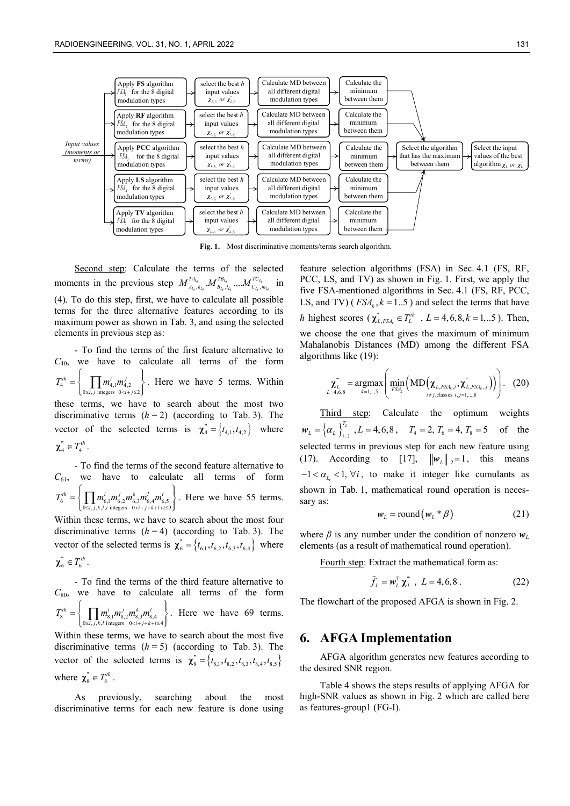

**Fig. 1.** Most discriminative moments/terms search algorithm.

Second step: Calculate the terms of the selected moments in the previous step  $M_{A_{L_i}, k_{L_i}}^{T A_{L_i}} ... M_{B_{L_i}, l_{L_i}}^{T B_{L_i}} ... M_{C_{L_i}, m_{L_i}}^{T C_{L_i}}$  in (4). To do this step, first, we have to calculate all possible terms for the three alternative features according to its maximum power as shown in Tab. 3, and using the selected elements in previous step as:

- To find the terms of the first feature alternative to *C*40, we have to calculate all terms of the form  $4 = \begin{cases} \n1 & \text{if } n \neq 1, 1 \neq 2, \\ \n0 \leq i, j \text{ integers } 0 < i + j \leq 2. \n\end{cases}$ *th*  $\Box$   $\Box$   $m^i$   $m^j$  $i, j$  integers  $0 < i+j$  $T_4^{th} = \left\{ \quad \prod m_{4}^i m$  $=\left\{\prod_{0\le i,j\text{ integers}} m_{4,1}^i m_{4,2}^j\right\}.$  Here we have 5 terms. Within

these terms, we have to search about the most two discriminative terms  $(h = 2)$  (according to Tab. 3). The vector of the selected terms is  $\mathbf{x}_4^{\dagger} = \{t_{4,1}, t_{4,2}\}$  where  $\chi_4^{\text{m}} \in T_4^{th}$ .

- To find the terms of the second feature alternative to *C*61, we have to calculate all terms of form 6 –  $\prod_{0 \le i,j,k,l,t} m_{6,1} m_{6,2} m_{6,3} m_{6,4} m_{6,5}$ <br> $0 \le i+j,k+l+t \le 3$  $th$  **i**  $\prod$   $m^i$   $m^j$   $m^k$   $m^l$   $m^l$  $i, j, k, l, t$  integers  $0 < i + j + k + l + t$  $T_6^{th} = \left\{ \prod m_{6}^{i} m_{6}^{j} m_{6}^{k} m_{6}^{l} m_{6}^{l} \right\}$  $=\left\{\prod_{0\le i,j,k,l,t\text{ integers}} m_{6,2}^j m_{6,3}^k m_{6,4}^l m_{6,5}^t\right\}$ . Here we have 55 terms.

Within these terms, we have to search about the most four discriminative terms  $(h = 4)$  (according to Tab. 3). The vector of the selected terms is  $\chi_6^* = \{t_{6,1}, t_{6,2}, t_{6,3}, t_{6,4}\}\;$  where  $\chi$ <sup>"</sup><sub>6</sub>  $T$ <sup>th</sup><sup> $th$ </sup>.

- To find the terms of the third feature alternative to  $C_{80}$ , we have to calculate all terms of the form 8  $=$   $\prod_{0 \le i, j, k, l} m_{8,1} m_{8,2} m_{8,3} m_{8,4}$ <br>0  $$  $th \_$   $\_\_$   $\_\_$   $m^i \_m^j \_m^k \_m^l$  $i, j, k, l$  integers  $0 < i + j + k + l$  $T_{8}^{th} = \left\{ \prod m_{8}^{i} m_{8}^{j} , m_{8}^{k} , m_{8}^{k} \right\}$  $=\left\{\prod_{0\le i,j,k,l\text{ integers}} m_{8,1}^j m_{8,2}^k m_{8,4}^l\right\}.$  Here we have 69 terms.

Within these terms, we have to search about the most five discriminative terms  $(h = 5)$  (according to Tab. 3). The vector of the selected terms is  $\mathbf{X}_{8}^{T} = \{t_{8,1}, t_{8,2}, t_{8,3}, t_{8,4}, t_{8,5}\}\$ where  $\chi_s^* \in T_s^{th}$ .

As previously, searching about the most discriminative terms for each new feature is done using

feature selection algorithms (FSA) in Sec. 4.1 (FS, RF, PCC, LS, and TV) as shown in Fig. 1. First, we apply the five FSA-mentioned algorithms in Sec. 4.1 (FS, RF, PCC, LS, and TV) ( $FSA_k$ ,  $k = 1..5$ ) and select the terms that have *h* highest scores  $(\chi_{L,FSA_k}^* \in T_L^{th}, L = 4, 6, 8, k = 1,..5)$ . Then, we choose the one that gives the maximum of minimum Mahalanobis Distances (MD) among the different FSA algorithms like (19):

$$
\mathbf{X}_{L=4,6,8}^{\mathbf{w}} = \underset{k=1,\dots,5}{\text{argmax}} \left( \underset{FSA_k}{\text{min}} \left( \text{MD} \left( \mathbf{X}_{L,FSA_k,i}^{\mathbf{w}}, \mathbf{X}_{L,FSA_k,j}^{\mathbf{w}} \right) \right) \right). \quad (20)
$$

Third step: Calculate the optimum weights  $\left\{\boldsymbol{\alpha}_{L_i}\right\}_{i=1}^{L}$ *i*  $W_L = \left\{ \alpha_{L_i} \right\}_{i=1}^{T_L}, L = 4, 6, 8,$   $T_4 = 2, T_6 = 4, T_8 = 5$  of the selected terms in previous step for each new feature using (17). According to [17],  $\|\mathbf{w}_L\|_2 = 1$ , this means  $-1 < \alpha_L < 1$ ,  $\forall i$ , to make it integer like cumulants as shown in Tab. 1, mathematical round operation is necessary as:

$$
w_{L} = \text{round}(w_{L} * \beta) \tag{21}
$$

where  $\beta$  is any number under the condition of nonzero  $w_l$ elements (as a result of mathematical round operation).

Fourth step: Extract the mathematical form as:

$$
\hat{f}_L = \mathbf{w}_L^{\mathrm{T}} \mathbf{\chi}_L^{\mathrm{T}} \ , \ L = 4, 6, 8 \ . \tag{22}
$$

The flowchart of the proposed AFGA is shown in Fig. 2.

#### **6. AFGA Implementation**

AFGA algorithm generates new features according to the desired SNR region.

Table 4 shows the steps results of applying AFGA for high-SNR values as shown in Fig. 2 which are called here as features-group1 (FG-I).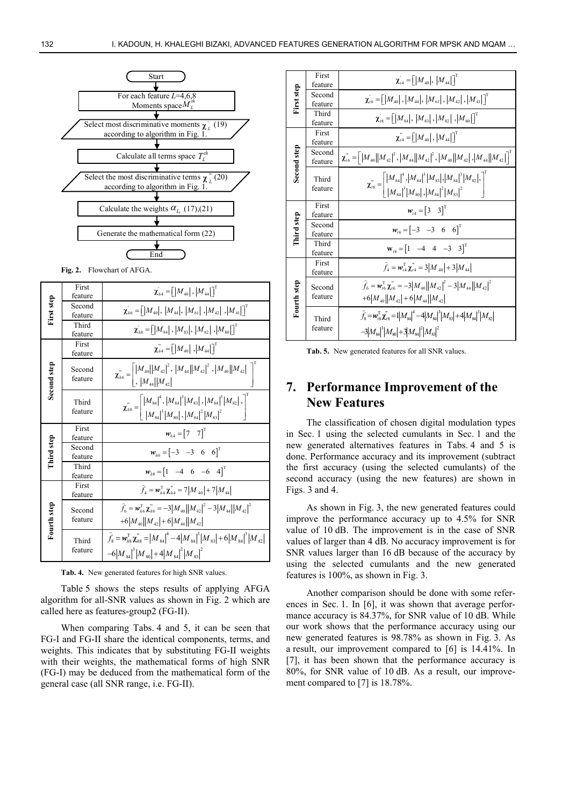

**Fig. 2.** Flowchart of AFGA.

|             | First<br>feature  | $\chi_{h4} = \left[ \left  M_{40} \right , \left  M_{44} \right  \right]^\mathrm{T}$                                                                     |  |  |
|-------------|-------------------|----------------------------------------------------------------------------------------------------------------------------------------------------------|--|--|
| First step  | Second<br>feature | $\chi_{h6} = \left[ \left  M_{40} \right , \, \left  M_{44} \right , \, \left  M_{61} \right , \left  M_{42} \right , \left  M_{41} \right  \right]^{T}$ |  |  |
|             | Third<br>feature  | $\chi_{h8} = \big[ \big  M_{84} \big , \big  M_{83} \big , \big  M_{82} \big , \big  M_{80} \big  \big]^{T}$                                             |  |  |
|             | First<br>feature  | $\chi_{h4}^{\text{H}} = \left[ \left  M_{40} \right  \right], \left  M_{44} \right  \right]$                                                             |  |  |
| Second step | Second<br>feature | $\pmb{\chi}_{h6}^{``} = \left\lfloor \frac{ M_{40}   M_{42} ^2}{ M_{44}   M_{42} }, \frac{ M_{44}   M_{42} ^2}{ M_{40}   M_{42} } \right\rfloor^{-}$     |  |  |
|             | Third<br>feature  | $\chi_{h8}^{n} = \left[ \frac{ M_{84} ^4,  M_{84} ^3  M_{83} ,  M_{84} ^3  M_{82} ,}{ M_{84} ^3  M_{80} ,  M_{84} ^2  M_{83} ^2} \right],$               |  |  |
|             | First             |                                                                                                                                                          |  |  |
|             | feature           | $w_{h4} = \begin{bmatrix} 7 & 7 \end{bmatrix}^T$                                                                                                         |  |  |
|             | Second<br>feature | $w_{h6} = \begin{bmatrix} -3 & -3 & 6 & 6 \end{bmatrix}^T$                                                                                               |  |  |
| Third step  | Third<br>feature  | $w_{bs} = [1 \ -4 \ 6 \ -6 \ 4]^T$                                                                                                                       |  |  |
|             | First<br>feature  | $\hat{f}_4 = \mathbf{w}_{h4}^T \mathbf{\chi}_{h4}^* = 7 M_{40}  + 7 M_{44} $                                                                             |  |  |
| Fourth step | Second<br>feature | $\hat{f}_6 = \mathbf{w}_{h6}^T \mathbf{\chi}_{h6}^{\text{w}} = -3  M_{40}  M_{42} ^2 - 3  M_{44}  M_{42} ^2$<br>$+6 M_{40}  M_{42} +6 M_{44}  M_{42} $   |  |  |

**Tab. 4.** New generated features for high SNR values.

Table 5 shows the steps results of applying AFGA algorithm for all-SNR values as shown in Fig. 2 which are called here as features-group2 (FG-II).

When comparing Tabs. 4 and 5, it can be seen that FG-I and FG-II share the identical components, terms, and weights. This indicates that by substituting FG-II weights with their weights, the mathematical forms of high SNR (FG-I) may be deduced from the mathematical form of the general case (all SNR range, i.e. FG-II).

|             | First<br>feature  | $\chi_{t4} = \left[ \left  M_{40} \right , \left  M_{44} \right  \right]$                                                                                                                                                                                                                                        |
|-------------|-------------------|------------------------------------------------------------------------------------------------------------------------------------------------------------------------------------------------------------------------------------------------------------------------------------------------------------------|
| First step  | Second<br>feature | $\chi_{16} = \big[ \big  M_{40} \big , \big  M_{44} \big , \big  M_{61} \big , \big  M_{42} \big , \big  M_{41} \big  \big]^{T}$                                                                                                                                                                                 |
|             | Third<br>feature  | $\chi_{18} = \left[  M_{84} ,  M_{83} ,  M_{82} ,  M_{80}  \right]^{\mathrm{T}}$                                                                                                                                                                                                                                 |
|             | First<br>feature  | $\chi_{74}^{\text{m}} = \left[ \left  M_{40} \right , \left  M_{44} \right  \right]^{T}$                                                                                                                                                                                                                         |
| Second step | Second<br>feature | $\chi_{76}^{^{\mathrm{m}}} = \left\lceil \left M_{40} \right \left M_{42} \right ^{2},\left M_{44} \right \left M_{42} \right ^{2},\left M_{40} \right \left M_{42} \right ,\left M_{44} \right \left M_{42} \right \right)^{\mathrm{T}}$                                                                        |
|             | Third<br>feature  | $\pmb{\chi}_{\rm r8}^{\rm \tiny \color{black} \bm{\pi}} = \left\lceil{\lvert M_{84}\rvert}^4,\lvert M_{84}\rvert^3 \lvert M_{83}\rvert,\lvert M_{84}\rvert^3 \lvert M_{82}\rvert,\right\rceil^7 \nonumber \\ \lvert M_{84}\rvert^3 \lvert M_{80}\rvert,\lvert M_{84}\rvert^2 \lvert M_{83}\rvert^2 \nonumber \\$ |
|             | First<br>feature  | $w_{14} = [3 \ 3]^T$                                                                                                                                                                                                                                                                                             |
| Third step  | Second<br>feature | $w_{16} = [-3 \ -3 \ 6 \ 6]^T$                                                                                                                                                                                                                                                                                   |
|             | Third<br>feature  | $W_{18} = \begin{bmatrix} 1 & -4 & 4 & -3 & 3 \end{bmatrix}^T$                                                                                                                                                                                                                                                   |
|             | First<br>feature  | $\hat{f}_4 = \mathbf{w}_{t4}^T \mathbf{\chi}_{t4}^{\text{}} = 3 M_{40}  + 3 M_{44} $                                                                                                                                                                                                                             |
| Fourth step | Second<br>feature | $\hat{f}_6 = \mathbf{w}_{16}^T \mathbf{\chi}_{16}^{\prime\prime} = -3  M_{40}  M_{42} ^2 - 3  M_{44}  M_{42} ^2$<br>$+6 M_{40}  M_{42} +6 M_{44}  M_{42} $                                                                                                                                                       |
|             | Third<br>feature  | $\hat{f}_{8} = \mathbf{w}_{8}^{T} \mathbf{y}_{18}^{T} = 1 \left M_{84}\right ^{4} - 4 \left M_{84}\right ^{3} \left M_{83}\right  + 4 \left M_{84}\right ^{3} \left M_{82}\right ^{3}$<br>$-3 M_{\rm sd} ^3 M_{\rm sd} +3 M_{\rm sd} ^2 M_{\rm sd} ^2$                                                           |

**Tab. 5.** New generated features for all SNR values.

# **7. Performance Improvement of the New Features**

The classification of chosen digital modulation types in Sec. 1 using the selected cumulants in Sec. 1 and the new generated alternatives features in Tabs. 4 and 5 is done. Performance accuracy and its improvement (subtract the first accuracy (using the selected cumulants) of the second accuracy (using the new features) are shown in Figs. 3 and 4.

As shown in Fig. 3, the new generated features could improve the performance accuracy up to 4.5% for SNR value of 10 dB. The improvement is in the case of SNR values of larger than 4 dB. No accuracy improvement is for SNR values larger than 16 dB because of the accuracy by using the selected cumulants and the new generated features is 100%, as shown in Fig. 3.

Another comparison should be done with some references in Sec. 1. In [6], it was shown that average performance accuracy is 84.37%, for SNR value of 10 dB. While our work shows that the performance accuracy using our new generated features is 98.78% as shown in Fig. 3. As a result, our improvement compared to [6] is 14.41%. In [7], it has been shown that the performance accuracy is 80%, for SNR value of 10 dB. As a result, our improvement compared to [7] is 18.78%.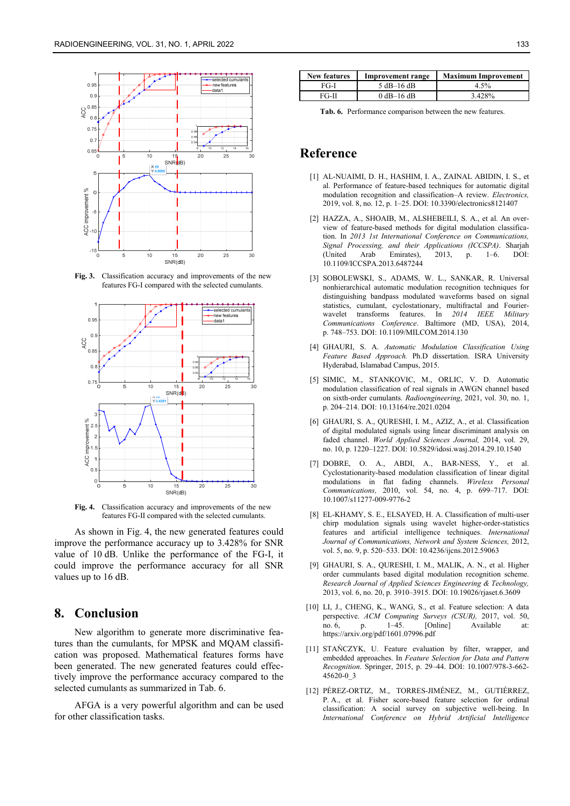

**Fig. 3.** Classification accuracy and improvements of the new features FG-I compared with the selected cumulants.



**Fig. 4.** Classification accuracy and improvements of the new features FG-II compared with the selected cumulants.

As shown in Fig. 4, the new generated features could improve the performance accuracy up to 3.428% for SNR value of 10 dB. Unlike the performance of the FG-I, it could improve the performance accuracy for all SNR values up to 16 dB.

# **8. Conclusion**

New algorithm to generate more discriminative features than the cumulants, for MPSK and MQAM classification was proposed. Mathematical features forms have been generated. The new generated features could effectively improve the performance accuracy compared to the selected cumulants as summarized in Tab. 6.

AFGA is a very powerful algorithm and can be used for other classification tasks.

| <b>New features</b> | Improvement range | <b>Maximum Improvement</b> |  |
|---------------------|-------------------|----------------------------|--|
| FG-I                | $5$ dB-16 dB      | 4 5%                       |  |
| FG-II               | $0$ dB-16 dB      | 3.428%                     |  |

**Tab. 6.** Performance comparison between the new features.

# **Reference**

- [1] AL-NUAIMI, D. H., HASHIM, I. A., ZAINAL ABIDIN, I. S., et al. Performance of feature-based techniques for automatic digital modulation recognition and classification–A review. *Electronics,*  2019, vol. 8, no. 12, p. 1–25. DOI: 10.3390/electronics8121407
- [2] HAZZA, A., SHOAIB, M., ALSHEBEILI, S. A., et al. An overview of feature-based methods for digital modulation classification. In *2013 1st International Conference on Communications, Signal Processing, and their Applications (ICCSPA)*. Sharjah (United Arab Emirates), 2013, p. 1–6. DOI: 10.1109/ICCSPA.2013.6487244
- [3] SOBOLEWSKI, S., ADAMS, W. L., SANKAR, R. Universal nonhierarchical automatic modulation recognition techniques for distinguishing bandpass modulated waveforms based on signal statistics, cumulant, cyclostationary, multifractal and Fourierwavelet transforms features. In *2014 IEEE Military Communications Conference*. Baltimore (MD, USA), 2014, p. 748–753. DOI: 10.1109/MILCOM.2014.130
- [4] GHAURI, S. A. *Automatic Modulation Classification Using Feature Based Approach.* Ph.D dissertation. ISRA University Hyderabad, Islamabad Campus, 2015.
- [5] SIMIC, M., STANKOVIC, M., ORLIC, V. D. Automatic modulation classification of real signals in AWGN channel based on sixth-order cumulants. *Radioengineering*, 2021, vol. 30, no. 1, p. 204–214. DOI: 10.13164/re.2021.0204
- [6] GHAURI, S. A., QURESHI, I. M., AZIZ, A., et al. Classification of digital modulated signals using linear discriminant analysis on faded channel. *World Applied Sciences Journal,* 2014, vol. 29, no. 10, p. 1220–1227. DOI: 10.5829/idosi.wasj.2014.29.10.1540
- [7] DOBRE, O. A., ABDI, A., BAR-NESS, Y., et al. Cyclostationarity-based modulation classification of linear digital modulations in flat fading channels. *Wireless Personal Communications,* 2010, vol. 54, no. 4, p. 699–717. DOI: 10.1007/s11277-009-9776-2
- [8] EL-KHAMY, S. E., ELSAYED, H. A. Classification of multi-user chirp modulation signals using wavelet higher-order-statistics features and artificial intelligence techniques. *International Journal of Communications, Network and System Sciences,* 2012, vol. 5, no. 9, p. 520–533. DOI: 10.4236/ijcns.2012.59063
- [9] GHAURI, S. A., QURESHI, I. M., MALIK, A. N., et al. Higher order cummulants based digital modulation recognition scheme. *Research Journal of Applied Sciences Engineering & Technology,*  2013, vol. 6, no. 20, p. 3910–3915. DOI: 10.19026/rjaset.6.3609
- [10] LI, J., CHENG, K., WANG, S., et al. Feature selection: A data perspective. *ACM Computing Surveys (CSUR),* 2017, vol. 50, no. 6, p. 1–45. [Online] Available at: https://arxiv.org/pdf/1601.07996.pdf
- [11] STAŃCZYK, U. Feature evaluation by filter, wrapper, and embedded approaches. In *Feature Selection for Data and Pattern Recognition*. Springer, 2015, p. 29–44. DOI: 10.1007/978-3-662- 45620-0\_3
- [12] PÉREZ-ORTIZ, M., TORRES-JIMÉNEZ, M., GUTIÉRREZ, P. A., et al. Fisher score-based feature selection for ordinal classification: A social survey on subjective well-being. In *International Conference on Hybrid Artificial Intelligence*